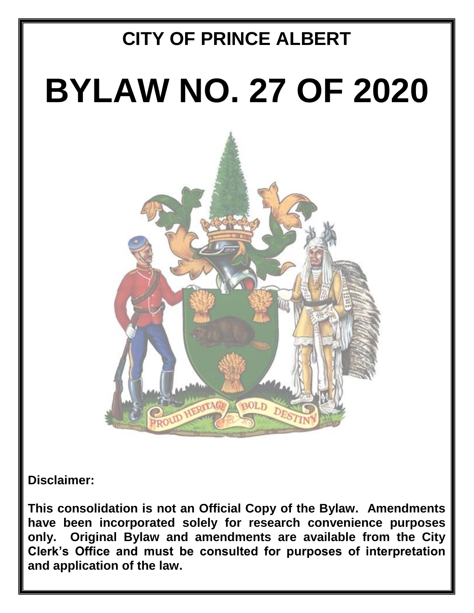# **CITY OF PRINCE ALBERT BYLAW NO. 27 OF 2020** AM BOLD

**Disclaimer:**

**This consolidation is not an Official Copy of the Bylaw. Amendments have been incorporated solely for research convenience purposes only. Original Bylaw and amendments are available from the City Clerk's Office and must be consulted for purposes of interpretation and application of the law.**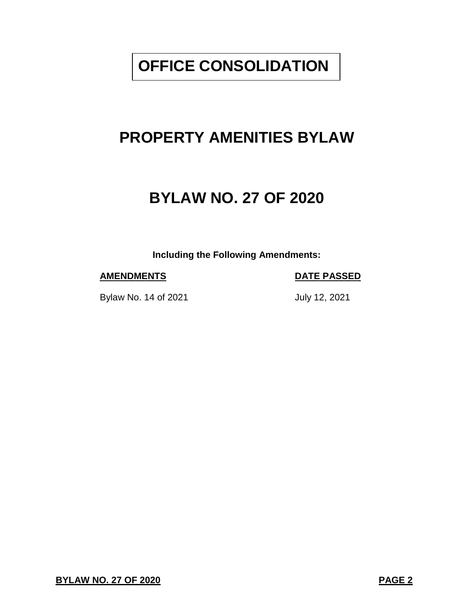# **OFFICE CONSOLIDATION**

# **PROPERTY AMENITIES BYLAW**

# **BYLAW NO. 27 OF 2020**

**Including the Following Amendments:**

### **AMENDMENTS DATE PASSED**

Bylaw No. 14 of 2021 July 12, 2021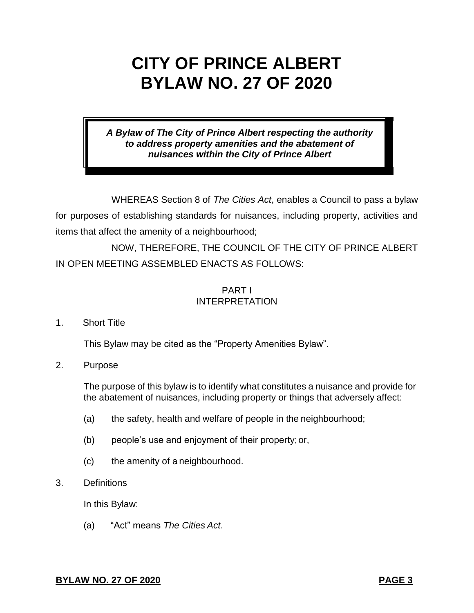# **CITY OF PRINCE ALBERT BYLAW NO. 27 OF 2020**

*A Bylaw of The City of Prince Albert respecting the authority to address property amenities and the abatement of nuisances within the City of Prince Albert*

WHEREAS Section 8 of *The Cities Act*, enables a Council to pass a bylaw for purposes of establishing standards for nuisances, including property, activities and items that affect the amenity of a neighbourhood;

NOW, THEREFORE, THE COUNCIL OF THE CITY OF PRINCE ALBERT IN OPEN MEETING ASSEMBLED ENACTS AS FOLLOWS:

## PART I INTERPRETATION

1. Short Title

This Bylaw may be cited as the "Property Amenities Bylaw".

2. Purpose

The purpose of this bylaw is to identify what constitutes a nuisance and provide for the abatement of nuisances, including property or things that adversely affect:

- (a) the safety, health and welfare of people in the neighbourhood;
- (b) people's use and enjoyment of their property; or,
- (c) the amenity of a neighbourhood.
- 3. Definitions

In this Bylaw:

(a) "Act" means *The Cities Act*.

### **BYLAW NO. 27 OF 2020 PAGE 3**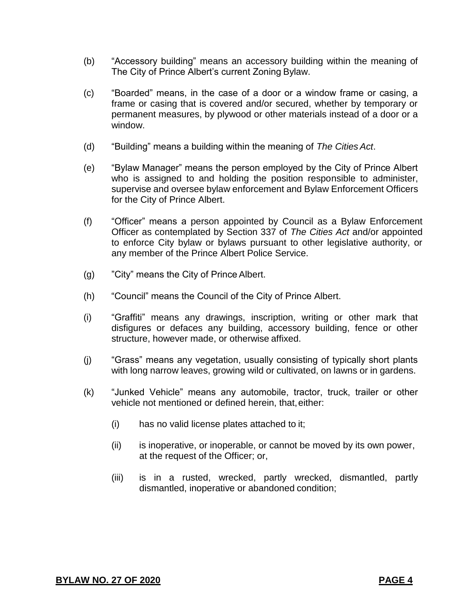- (b) "Accessory building" means an accessory building within the meaning of The City of Prince Albert's current Zoning Bylaw.
- (c) "Boarded" means, in the case of a door or a window frame or casing, a frame or casing that is covered and/or secured, whether by temporary or permanent measures, by plywood or other materials instead of a door or a window.
- (d) "Building" means a building within the meaning of *The CitiesAct*.
- (e) "Bylaw Manager" means the person employed by the City of Prince Albert who is assigned to and holding the position responsible to administer, supervise and oversee bylaw enforcement and Bylaw Enforcement Officers for the City of Prince Albert.
- (f) "Officer" means a person appointed by Council as a Bylaw Enforcement Officer as contemplated by Section 337 of *The Cities Act* and/or appointed to enforce City bylaw or bylaws pursuant to other legislative authority, or any member of the Prince Albert Police Service.
- (g) "City" means the City of PrinceAlbert.
- (h) "Council" means the Council of the City of Prince Albert.
- (i) "Graffiti" means any drawings, inscription, writing or other mark that disfigures or defaces any building, accessory building, fence or other structure, however made, or otherwise affixed.
- (j) "Grass" means any vegetation, usually consisting of typically short plants with long narrow leaves, growing wild or cultivated, on lawns or in gardens.
- (k) "Junked Vehicle" means any automobile, tractor, truck, trailer or other vehicle not mentioned or defined herein, that,either:
	- (i) has no valid license plates attached to it;
	- (ii) is inoperative, or inoperable, or cannot be moved by its own power, at the request of the Officer; or,
	- (iii) is in a rusted, wrecked, partly wrecked, dismantled, partly dismantled, inoperative or abandoned condition;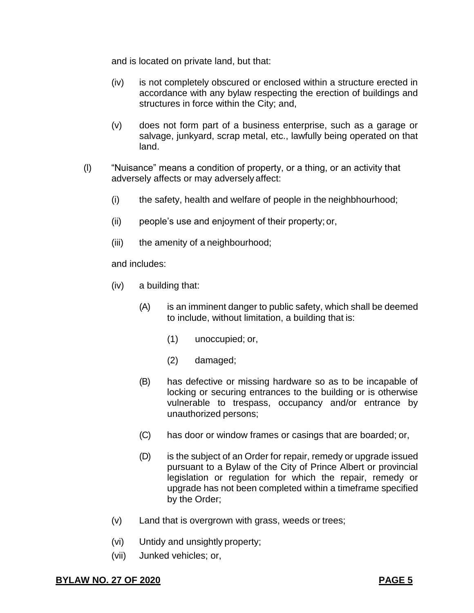and is located on private land, but that:

- (iv) is not completely obscured or enclosed within a structure erected in accordance with any bylaw respecting the erection of buildings and structures in force within the City; and,
- (v) does not form part of a business enterprise, such as a garage or salvage, junkyard, scrap metal, etc., lawfully being operated on that land.
- (l) "Nuisance" means a condition of property, or a thing, or an activity that adversely affects or may adversely affect:
	- (i) the safety, health and welfare of people in the neighbhourhood;
	- (ii) people's use and enjoyment of their property; or,
	- (iii) the amenity of a neighbourhood;

and includes:

- (iv) a building that:
	- (A) is an imminent danger to public safety, which shall be deemed to include, without limitation, a building that is:
		- (1) unoccupied; or,
		- (2) damaged;
	- (B) has defective or missing hardware so as to be incapable of locking or securing entrances to the building or is otherwise vulnerable to trespass, occupancy and/or entrance by unauthorized persons;
	- (C) has door or window frames or casings that are boarded; or,
	- (D) is the subject of an Order for repair, remedy or upgrade issued pursuant to a Bylaw of the City of Prince Albert or provincial legislation or regulation for which the repair, remedy or upgrade has not been completed within a timeframe specified by the Order;
- (v) Land that is overgrown with grass, weeds or trees;
- (vi) Untidy and unsightly property;
- (vii) Junked vehicles; or,

**BYLAW NO. 27 OF 2020 PAGE 5**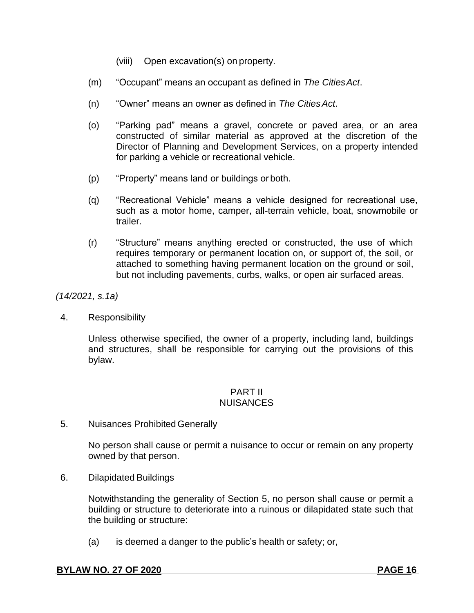- (viii) Open excavation(s) on property.
- (m) "Occupant" means an occupant as defined in *The CitiesAct*.
- (n) "Owner" means an owner as defined in *The CitiesAct*.
- (o) "Parking pad" means a gravel, concrete or paved area, or an area constructed of similar material as approved at the discretion of the Director of Planning and Development Services, on a property intended for parking a vehicle or recreational vehicle.
- (p) "Property" means land or buildings or both.
- (q) "Recreational Vehicle" means a vehicle designed for recreational use, such as a motor home, camper, all-terrain vehicle, boat, snowmobile or trailer.
- (r) "Structure" means anything erected or constructed, the use of which requires temporary or permanent location on, or support of, the soil, or attached to something having permanent location on the ground or soil, but not including pavements, curbs, walks, or open air surfaced areas.

*(14/2021, s.1a)*

4. Responsibility

Unless otherwise specified, the owner of a property, including land, buildings and structures, shall be responsible for carrying out the provisions of this bylaw.

### PART II **NUISANCES**

5. Nuisances Prohibited Generally

No person shall cause or permit a nuisance to occur or remain on any property owned by that person.

6. Dilapidated Buildings

Notwithstanding the generality of Section 5, no person shall cause or permit a building or structure to deteriorate into a ruinous or dilapidated state such that the building or structure:

(a) is deemed a danger to the public's health or safety; or,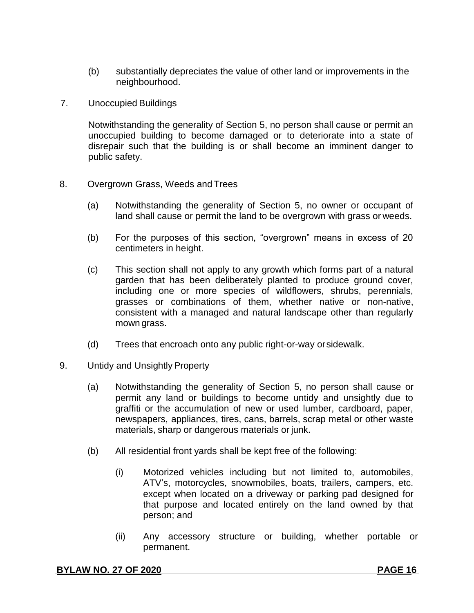- (b) substantially depreciates the value of other land or improvements in the neighbourhood.
- 7. Unoccupied Buildings

Notwithstanding the generality of Section 5, no person shall cause or permit an unoccupied building to become damaged or to deteriorate into a state of disrepair such that the building is or shall become an imminent danger to public safety.

- 8. Overgrown Grass, Weeds and Trees
	- (a) Notwithstanding the generality of Section 5, no owner or occupant of land shall cause or permit the land to be overgrown with grass or weeds.
	- (b) For the purposes of this section, "overgrown" means in excess of 20 centimeters in height.
	- (c) This section shall not apply to any growth which forms part of a natural garden that has been deliberately planted to produce ground cover, including one or more species of wildflowers, shrubs, perennials, grasses or combinations of them, whether native or non-native, consistent with a managed and natural landscape other than regularly mown grass.
	- (d) Trees that encroach onto any public right-or-way orsidewalk.
- 9. Untidy and Unsightly Property
	- (a) Notwithstanding the generality of Section 5, no person shall cause or permit any land or buildings to become untidy and unsightly due to graffiti or the accumulation of new or used lumber, cardboard, paper, newspapers, appliances, tires, cans, barrels, scrap metal or other waste materials, sharp or dangerous materials or junk.
	- (b) All residential front yards shall be kept free of the following:
		- (i) Motorized vehicles including but not limited to, automobiles, ATV's, motorcycles, snowmobiles, boats, trailers, campers, etc. except when located on a driveway or parking pad designed for that purpose and located entirely on the land owned by that person; and
		- (ii) Any accessory structure or building, whether portable or permanent.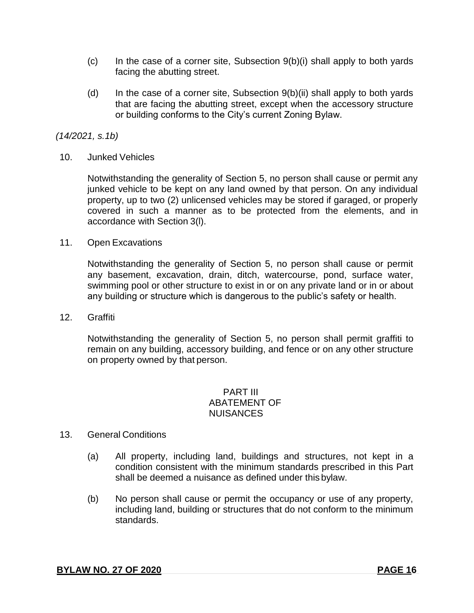- $(c)$  In the case of a corner site, Subsection  $9(b)(i)$  shall apply to both yards facing the abutting street.
- (d) In the case of a corner site, Subsection  $9(b)(ii)$  shall apply to both yards that are facing the abutting street, except when the accessory structure or building conforms to the City's current Zoning Bylaw.

### *(14/2021, s.1b)*

10. Junked Vehicles

Notwithstanding the generality of Section 5, no person shall cause or permit any junked vehicle to be kept on any land owned by that person. On any individual property, up to two (2) unlicensed vehicles may be stored if garaged, or properly covered in such a manner as to be protected from the elements, and in accordance with Section 3(l).

11. Open Excavations

Notwithstanding the generality of Section 5, no person shall cause or permit any basement, excavation, drain, ditch, watercourse, pond, surface water, swimming pool or other structure to exist in or on any private land or in or about any building or structure which is dangerous to the public's safety or health.

12. Graffiti

Notwithstanding the generality of Section 5, no person shall permit graffiti to remain on any building, accessory building, and fence or on any other structure on property owned by that person.

### PART III ABATEMENT OF **NUISANCES**

### 13. General Conditions

- (a) All property, including land, buildings and structures, not kept in a condition consistent with the minimum standards prescribed in this Part shall be deemed a nuisance as defined under this bylaw.
- (b) No person shall cause or permit the occupancy or use of any property, including land, building or structures that do not conform to the minimum standards.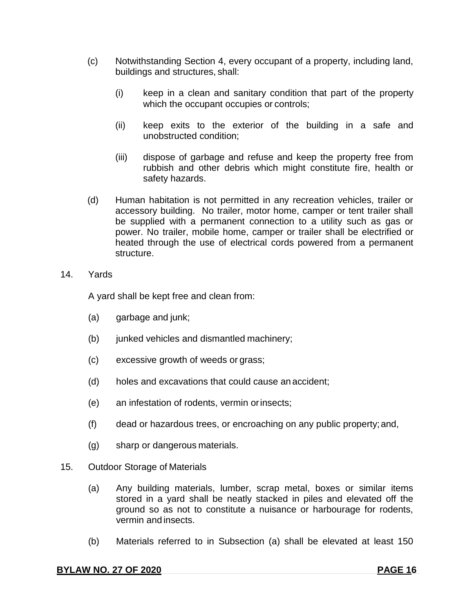- (c) Notwithstanding Section 4, every occupant of a property, including land, buildings and structures, shall:
	- (i) keep in a clean and sanitary condition that part of the property which the occupant occupies or controls;
	- (ii) keep exits to the exterior of the building in a safe and unobstructed condition;
	- (iii) dispose of garbage and refuse and keep the property free from rubbish and other debris which might constitute fire, health or safety hazards.
- (d) Human habitation is not permitted in any recreation vehicles, trailer or accessory building. No trailer, motor home, camper or tent trailer shall be supplied with a permanent connection to a utility such as gas or power. No trailer, mobile home, camper or trailer shall be electrified or heated through the use of electrical cords powered from a permanent structure.
- 14. Yards

A yard shall be kept free and clean from:

- (a) garbage and junk;
- (b) junked vehicles and dismantled machinery;
- (c) excessive growth of weeds or grass;
- (d) holes and excavations that could cause an accident;
- (e) an infestation of rodents, vermin orinsects;
- (f) dead or hazardous trees, or encroaching on any public property;and,
- (g) sharp or dangerous materials.
- 15. Outdoor Storage of Materials
	- (a) Any building materials, lumber, scrap metal, boxes or similar items stored in a yard shall be neatly stacked in piles and elevated off the ground so as not to constitute a nuisance or harbourage for rodents, vermin and insects.
	- (b) Materials referred to in Subsection (a) shall be elevated at least 150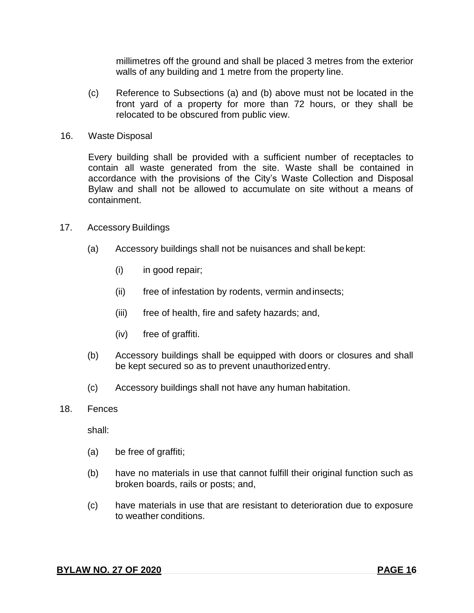millimetres off the ground and shall be placed 3 metres from the exterior walls of any building and 1 metre from the property line.

- (c) Reference to Subsections (a) and (b) above must not be located in the front yard of a property for more than 72 hours, or they shall be relocated to be obscured from public view.
- 16. Waste Disposal

Every building shall be provided with a sufficient number of receptacles to contain all waste generated from the site. Waste shall be contained in accordance with the provisions of the City's Waste Collection and Disposal Bylaw and shall not be allowed to accumulate on site without a means of containment.

- 17. Accessory Buildings
	- (a) Accessory buildings shall not be nuisances and shall bekept:
		- (i) in good repair;
		- (ii) free of infestation by rodents, vermin andinsects;
		- (iii) free of health, fire and safety hazards; and,
		- (iv) free of graffiti.
	- (b) Accessory buildings shall be equipped with doors or closures and shall be kept secured so as to prevent unauthorizedentry.
	- (c) Accessory buildings shall not have any human habitation.
- 18. Fences

shall:

- (a) be free of graffiti;
- (b) have no materials in use that cannot fulfill their original function such as broken boards, rails or posts; and,
- (c) have materials in use that are resistant to deterioration due to exposure to weather conditions.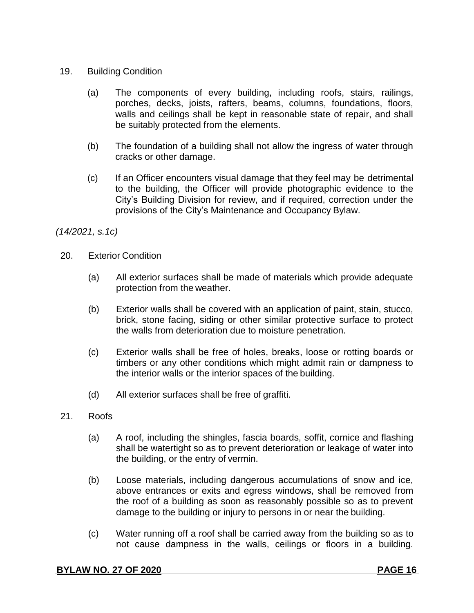### 19. Building Condition

- (a) The components of every building, including roofs, stairs, railings, porches, decks, joists, rafters, beams, columns, foundations, floors, walls and ceilings shall be kept in reasonable state of repair, and shall be suitably protected from the elements.
- (b) The foundation of a building shall not allow the ingress of water through cracks or other damage.
- (c) If an Officer encounters visual damage that they feel may be detrimental to the building, the Officer will provide photographic evidence to the City's Building Division for review, and if required, correction under the provisions of the City's Maintenance and Occupancy Bylaw.

*(14/2021, s.1c)*

- 20. Exterior Condition
	- (a) All exterior surfaces shall be made of materials which provide adequate protection from the weather.
	- (b) Exterior walls shall be covered with an application of paint, stain, stucco, brick, stone facing, siding or other similar protective surface to protect the walls from deterioration due to moisture penetration.
	- (c) Exterior walls shall be free of holes, breaks, loose or rotting boards or timbers or any other conditions which might admit rain or dampness to the interior walls or the interior spaces of the building.
	- (d) All exterior surfaces shall be free of graffiti.
- 21. Roofs
	- (a) A roof, including the shingles, fascia boards, soffit, cornice and flashing shall be watertight so as to prevent deterioration or leakage of water into the building, or the entry of vermin.
	- (b) Loose materials, including dangerous accumulations of snow and ice, above entrances or exits and egress windows, shall be removed from the roof of a building as soon as reasonably possible so as to prevent damage to the building or injury to persons in or near the building.
	- (c) Water running off a roof shall be carried away from the building so as to not cause dampness in the walls, ceilings or floors in a building.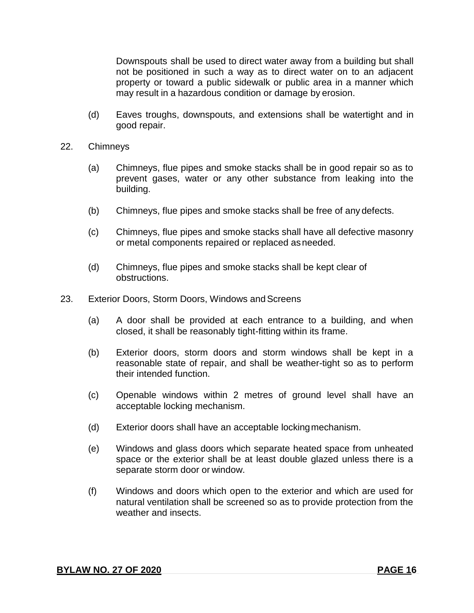Downspouts shall be used to direct water away from a building but shall not be positioned in such a way as to direct water on to an adjacent property or toward a public sidewalk or public area in a manner which may result in a hazardous condition or damage by erosion.

- (d) Eaves troughs, downspouts, and extensions shall be watertight and in good repair.
- 22. Chimneys
	- (a) Chimneys, flue pipes and smoke stacks shall be in good repair so as to prevent gases, water or any other substance from leaking into the building.
	- (b) Chimneys, flue pipes and smoke stacks shall be free of any defects.
	- (c) Chimneys, flue pipes and smoke stacks shall have all defective masonry or metal components repaired or replaced asneeded.
	- (d) Chimneys, flue pipes and smoke stacks shall be kept clear of obstructions.
- 23. Exterior Doors, Storm Doors, Windows and Screens
	- (a) A door shall be provided at each entrance to a building, and when closed, it shall be reasonably tight-fitting within its frame.
	- (b) Exterior doors, storm doors and storm windows shall be kept in a reasonable state of repair, and shall be weather-tight so as to perform their intended function.
	- (c) Openable windows within 2 metres of ground level shall have an acceptable locking mechanism.
	- (d) Exterior doors shall have an acceptable lockingmechanism.
	- (e) Windows and glass doors which separate heated space from unheated space or the exterior shall be at least double glazed unless there is a separate storm door or window.
	- (f) Windows and doors which open to the exterior and which are used for natural ventilation shall be screened so as to provide protection from the weather and insects.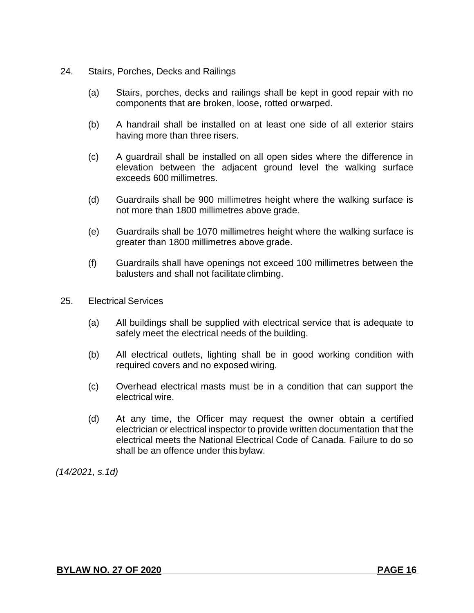- 24. Stairs, Porches, Decks and Railings
	- (a) Stairs, porches, decks and railings shall be kept in good repair with no components that are broken, loose, rotted orwarped.
	- (b) A handrail shall be installed on at least one side of all exterior stairs having more than three risers.
	- (c) A guardrail shall be installed on all open sides where the difference in elevation between the adjacent ground level the walking surface exceeds 600 millimetres.
	- (d) Guardrails shall be 900 millimetres height where the walking surface is not more than 1800 millimetres above grade.
	- (e) Guardrails shall be 1070 millimetres height where the walking surface is greater than 1800 millimetres above grade.
	- (f) Guardrails shall have openings not exceed 100 millimetres between the balusters and shall not facilitate climbing.
- 25. Electrical Services
	- (a) All buildings shall be supplied with electrical service that is adequate to safely meet the electrical needs of the building.
	- (b) All electrical outlets, lighting shall be in good working condition with required covers and no exposed wiring.
	- (c) Overhead electrical masts must be in a condition that can support the electrical wire.
	- (d) At any time, the Officer may request the owner obtain a certified electrician or electrical inspector to provide written documentation that the electrical meets the National Electrical Code of Canada. Failure to do so shall be an offence under this bylaw.

*(14/2021, s.1d)*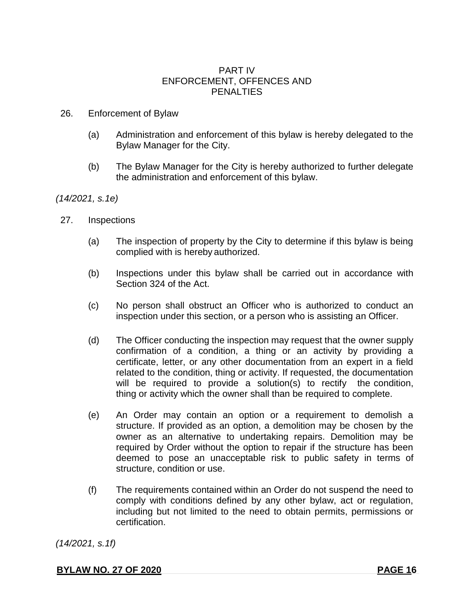### PART IV ENFORCEMENT, OFFENCES AND **PENALTIES**

### 26. Enforcement of Bylaw

- (a) Administration and enforcement of this bylaw is hereby delegated to the Bylaw Manager for the City.
- (b) The Bylaw Manager for the City is hereby authorized to further delegate the administration and enforcement of this bylaw.

### *(14/2021, s.1e)*

- 27. Inspections
	- (a) The inspection of property by the City to determine if this bylaw is being complied with is hereby authorized.
	- (b) Inspections under this bylaw shall be carried out in accordance with Section 324 of the Act.
	- (c) No person shall obstruct an Officer who is authorized to conduct an inspection under this section, or a person who is assisting an Officer.
	- (d) The Officer conducting the inspection may request that the owner supply confirmation of a condition, a thing or an activity by providing a certificate, letter, or any other documentation from an expert in a field related to the condition, thing or activity. If requested, the documentation will be required to provide a solution(s) to rectify the condition, thing or activity which the owner shall than be required to complete.
	- (e) An Order may contain an option or a requirement to demolish a structure. If provided as an option, a demolition may be chosen by the owner as an alternative to undertaking repairs. Demolition may be required by Order without the option to repair if the structure has been deemed to pose an unacceptable risk to public safety in terms of structure, condition or use.
	- (f) The requirements contained within an Order do not suspend the need to comply with conditions defined by any other bylaw, act or regulation, including but not limited to the need to obtain permits, permissions or certification.

*(14/2021, s.1f)*

**BYLAW NO. 27 OF 2020 PAGE 16**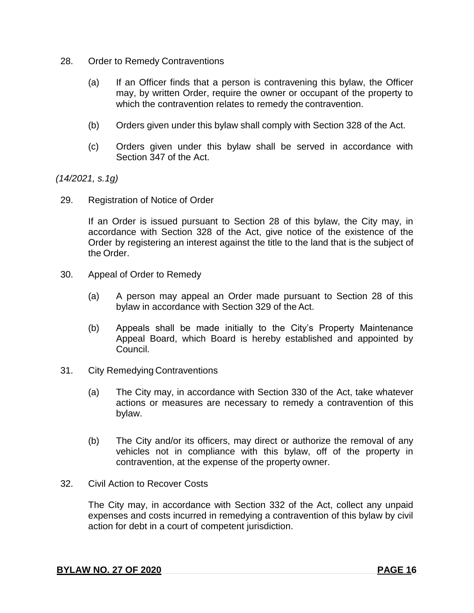- 28. Order to Remedy Contraventions
	- (a) If an Officer finds that a person is contravening this bylaw, the Officer may, by written Order, require the owner or occupant of the property to which the contravention relates to remedy the contravention.
	- (b) Orders given under this bylaw shall comply with Section 328 of the Act.
	- (c) Orders given under this bylaw shall be served in accordance with Section 347 of the Act.

*(14/2021, s.1g)*

29. Registration of Notice of Order

If an Order is issued pursuant to Section 28 of this bylaw, the City may, in accordance with Section 328 of the Act, give notice of the existence of the Order by registering an interest against the title to the land that is the subject of the Order.

- 30. Appeal of Order to Remedy
	- (a) A person may appeal an Order made pursuant to Section 28 of this bylaw in accordance with Section 329 of the Act.
	- (b) Appeals shall be made initially to the City's Property Maintenance Appeal Board, which Board is hereby established and appointed by Council.
- 31. City Remedying Contraventions
	- (a) The City may, in accordance with Section 330 of the Act, take whatever actions or measures are necessary to remedy a contravention of this bylaw.
	- (b) The City and/or its officers, may direct or authorize the removal of any vehicles not in compliance with this bylaw, off of the property in contravention, at the expense of the property owner.
- 32. Civil Action to Recover Costs

The City may, in accordance with Section 332 of the Act, collect any unpaid expenses and costs incurred in remedying a contravention of this bylaw by civil action for debt in a court of competent jurisdiction.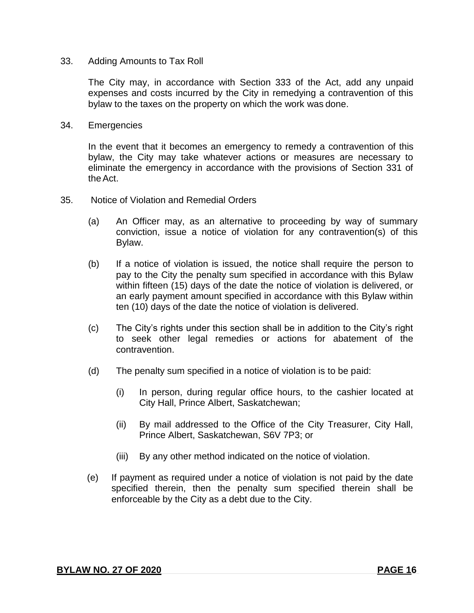### 33. Adding Amounts to Tax Roll

The City may, in accordance with Section 333 of the Act, add any unpaid expenses and costs incurred by the City in remedying a contravention of this bylaw to the taxes on the property on which the work was done.

### 34. Emergencies

In the event that it becomes an emergency to remedy a contravention of this bylaw, the City may take whatever actions or measures are necessary to eliminate the emergency in accordance with the provisions of Section 331 of the Act.

- 35. Notice of Violation and Remedial Orders
	- (a) An Officer may, as an alternative to proceeding by way of summary conviction, issue a notice of violation for any contravention(s) of this Bylaw.
	- (b) If a notice of violation is issued, the notice shall require the person to pay to the City the penalty sum specified in accordance with this Bylaw within fifteen (15) days of the date the notice of violation is delivered, or an early payment amount specified in accordance with this Bylaw within ten (10) days of the date the notice of violation is delivered.
	- (c) The City's rights under this section shall be in addition to the City's right to seek other legal remedies or actions for abatement of the contravention.
	- (d) The penalty sum specified in a notice of violation is to be paid:
		- (i) In person, during regular office hours, to the cashier located at City Hall, Prince Albert, Saskatchewan;
		- (ii) By mail addressed to the Office of the City Treasurer, City Hall, Prince Albert, Saskatchewan, S6V 7P3; or
		- (iii) By any other method indicated on the notice of violation.
	- (e) If payment as required under a notice of violation is not paid by the date specified therein, then the penalty sum specified therein shall be enforceable by the City as a debt due to the City.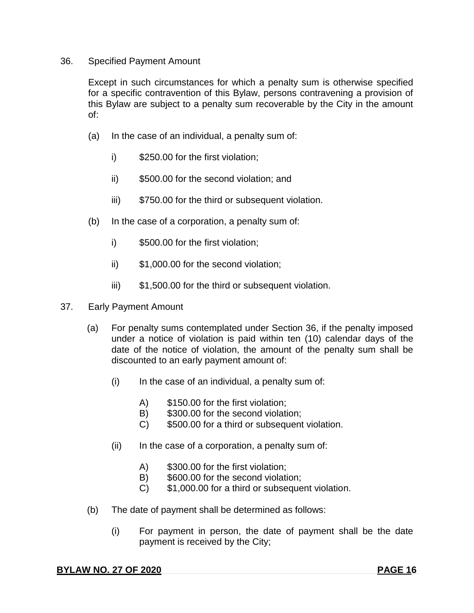### 36. Specified Payment Amount

Except in such circumstances for which a penalty sum is otherwise specified for a specific contravention of this Bylaw, persons contravening a provision of this Bylaw are subject to a penalty sum recoverable by the City in the amount of:

- (a) In the case of an individual, a penalty sum of:
	- i) \$250.00 for the first violation;
	- ii) \$500.00 for the second violation; and
	- iii)  $$750.00$  for the third or subsequent violation.
- (b) In the case of a corporation, a penalty sum of:
	- i) \$500.00 for the first violation;
	- ii) \$1,000.00 for the second violation;
	- iii) \$1,500.00 for the third or subsequent violation.
- 37. Early Payment Amount
	- (a) For penalty sums contemplated under Section 36, if the penalty imposed under a notice of violation is paid within ten (10) calendar days of the date of the notice of violation, the amount of the penalty sum shall be discounted to an early payment amount of:
		- $(i)$  In the case of an individual, a penalty sum of:
			- A) \$150.00 for the first violation;
			- B) \$300.00 for the second violation:
			- C) \$500.00 for a third or subsequent violation.
		- $(ii)$  In the case of a corporation, a penalty sum of:
			- A) \$300.00 for the first violation;
			- B) \$600.00 for the second violation:
			- C) \$1,000.00 for a third or subsequent violation.
	- (b) The date of payment shall be determined as follows:
		- (i) For payment in person, the date of payment shall be the date payment is received by the City;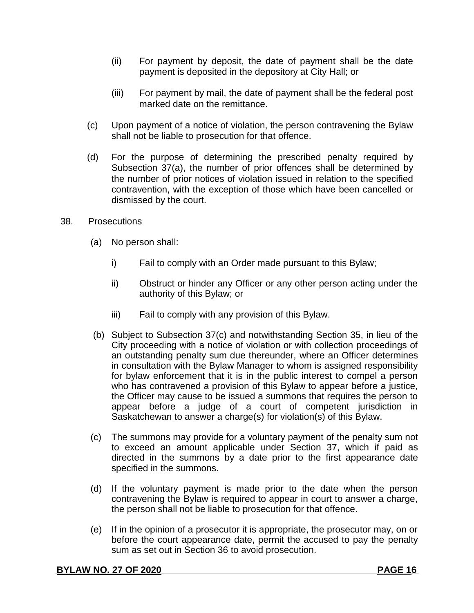- (ii) For payment by deposit, the date of payment shall be the date payment is deposited in the depository at City Hall; or
- (iii) For payment by mail, the date of payment shall be the federal post marked date on the remittance.
- (c) Upon payment of a notice of violation, the person contravening the Bylaw shall not be liable to prosecution for that offence.
- (d) For the purpose of determining the prescribed penalty required by Subsection 37(a), the number of prior offences shall be determined by the number of prior notices of violation issued in relation to the specified contravention, with the exception of those which have been cancelled or dismissed by the court.
- 38. Prosecutions
	- (a) No person shall:
		- i) Fail to comply with an Order made pursuant to this Bylaw;
		- ii) Obstruct or hinder any Officer or any other person acting under the authority of this Bylaw; or
		- iii) Fail to comply with any provision of this Bylaw.
	- (b) Subject to Subsection 37(c) and notwithstanding Section 35, in lieu of the City proceeding with a notice of violation or with collection proceedings of an outstanding penalty sum due thereunder, where an Officer determines in consultation with the Bylaw Manager to whom is assigned responsibility for bylaw enforcement that it is in the public interest to compel a person who has contravened a provision of this Bylaw to appear before a justice, the Officer may cause to be issued a summons that requires the person to appear before a judge of a court of competent jurisdiction in Saskatchewan to answer a charge(s) for violation(s) of this Bylaw.
	- (c) The summons may provide for a voluntary payment of the penalty sum not to exceed an amount applicable under Section 37, which if paid as directed in the summons by a date prior to the first appearance date specified in the summons.
	- (d) If the voluntary payment is made prior to the date when the person contravening the Bylaw is required to appear in court to answer a charge, the person shall not be liable to prosecution for that offence.
	- (e) If in the opinion of a prosecutor it is appropriate, the prosecutor may, on or before the court appearance date, permit the accused to pay the penalty sum as set out in Section 36 to avoid prosecution.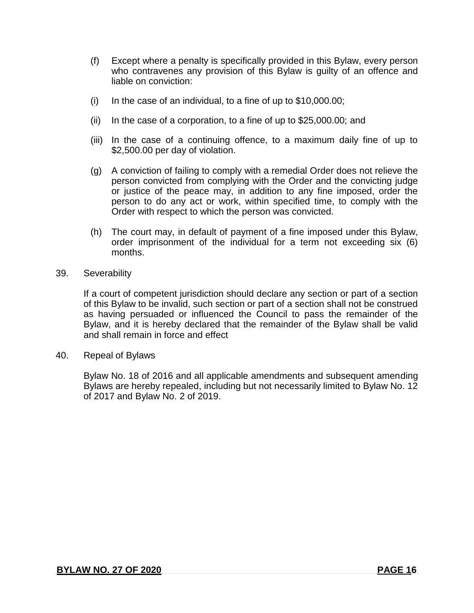- (f) Except where a penalty is specifically provided in this Bylaw, every person who contravenes any provision of this Bylaw is guilty of an offence and liable on conviction:
- (i) In the case of an individual, to a fine of up to  $$10,000.00;$
- (ii) In the case of a corporation, to a fine of up to \$25,000.00; and
- (iii) In the case of a continuing offence, to a maximum daily fine of up to \$2,500.00 per day of violation.
- (g) A conviction of failing to comply with a remedial Order does not relieve the person convicted from complying with the Order and the convicting judge or justice of the peace may, in addition to any fine imposed, order the person to do any act or work, within specified time, to comply with the Order with respect to which the person was convicted.
- (h) The court may, in default of payment of a fine imposed under this Bylaw, order imprisonment of the individual for a term not exceeding six (6) months.
- 39. Severability

If a court of competent jurisdiction should declare any section or part of a section of this Bylaw to be invalid, such section or part of a section shall not be construed as having persuaded or influenced the Council to pass the remainder of the Bylaw, and it is hereby declared that the remainder of the Bylaw shall be valid and shall remain in force and effect

40. Repeal of Bylaws

Bylaw No. 18 of 2016 and all applicable amendments and subsequent amending Bylaws are hereby repealed, including but not necessarily limited to Bylaw No. 12 of 2017 and Bylaw No. 2 of 2019.